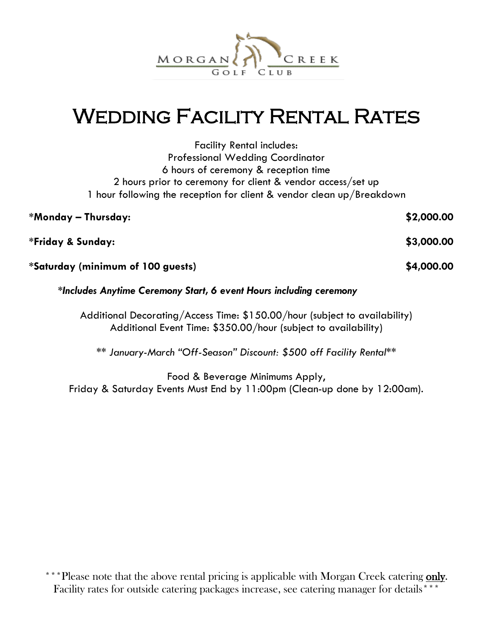

# Wedding Facility Rental Rates

| <b>Facility Rental includes:</b>                                      |            |
|-----------------------------------------------------------------------|------------|
| <b>Professional Wedding Coordinator</b>                               |            |
| 6 hours of ceremony & reception time                                  |            |
| 2 hours prior to ceremony for client & vendor access/set up           |            |
| 1 hour following the reception for client & vendor clean up/Breakdown |            |
| *Monday — Thursday:                                                   | \$2,000.00 |
|                                                                       |            |

**\*Friday & Sunday: \$3,000.00**

**\*Saturday (minimum of 100 guests) \$4,000.00**

#### *\*Includes Anytime Ceremony Start, 6 event Hours including ceremony*

Additional Decorating/Access Time: \$150.00/hour (subject to availability) Additional Event Time: \$350.00/hour (subject to availability)

*\*\* January-March "Off-Season" Discount: \$500 off Facility Rental\*\**

Food & Beverage Minimums Apply, Friday & Saturday Events Must End by 11:00pm (Clean-up done by 12:00am).

<sup>\*\*\*</sup>Please note that the above rental pricing is applicable with Morgan Creek catering only. Facility rates for outside catering packages increase, see catering manager for details\*\*\*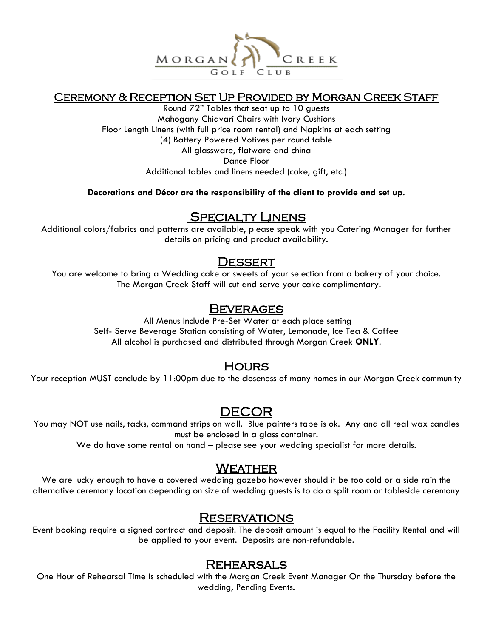

#### Ceremony & Reception Set Up Provided by Morgan Creek Staff

Round 72" Tables that seat up to 10 guests Mahogany Chiavari Chairs with Ivory Cushions Floor Length Linens (with full price room rental) and Napkins at each setting (4) Battery Powered Votives per round table All glassware, flatware and china Dance Floor Additional tables and linens needed (cake, gift, etc.)

**Decorations and Décor are the responsibility of the client to provide and set up.**

#### SPECIALTY LINENS

Additional colors/fabrics and patterns are available, please speak with you Catering Manager for further details on pricing and product availability.

#### **DESSERT**

You are welcome to bring a Wedding cake or sweets of your selection from a bakery of your choice. The Morgan Creek Staff will cut and serve your cake complimentary.

#### Beverages

All Menus Include Pre-Set Water at each place setting Self- Serve Beverage Station consisting of Water, Lemonade, Ice Tea & Coffee All alcohol is purchased and distributed through Morgan Creek **ONLY**.

## **HOURS**

Your reception MUST conclude by 11:00pm due to the closeness of many homes in our Morgan Creek community

## DECOR

You may NOT use nails, tacks, command strips on wall. Blue painters tape is ok. Any and all real wax candles must be enclosed in a glass container.

We do have some rental on hand – please see your wedding specialist for more details.

#### **WEATHER**

We are lucky enough to have a covered wedding gazebo however should it be too cold or a side rain the alternative ceremony location depending on size of wedding guests is to do a split room or tableside ceremony

#### **RESERVATIONS**

Event booking require a signed contract and deposit. The deposit amount is equal to the Facility Rental and will be applied to your event. Deposits are non-refundable.

#### Rehearsals

One Hour of Rehearsal Time is scheduled with the Morgan Creek Event Manager On the Thursday before the wedding, Pending Events.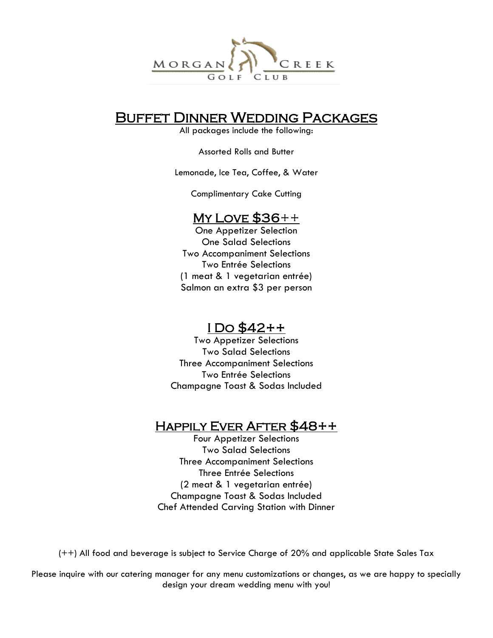

## Buffet Dinner Wedding Packages

All packages include the following:

Assorted Rolls and Butter

Lemonade, Ice Tea, Coffee, & Water

Complimentary Cake Cutting

#### My LOVE  $$36++$

One Appetizer Selection One Salad Selections Two Accompaniment Selections Two Entrée Selections (1 meat & 1 vegetarian entrée) Salmon an extra \$3 per person

## I Do \$42++

Two Appetizer Selections Two Salad Selections Three Accompaniment Selections Two Entrée Selections Champagne Toast & Sodas Included

## Happily Ever After \$48++

Four Appetizer Selections Two Salad Selections Three Accompaniment Selections Three Entrée Selections (2 meat & 1 vegetarian entrée) Champagne Toast & Sodas Included Chef Attended Carving Station with Dinner

(++) All food and beverage is subject to Service Charge of 20% and applicable State Sales Tax

Please inquire with our catering manager for any menu customizations or changes, as we are happy to specially design your dream wedding menu with you!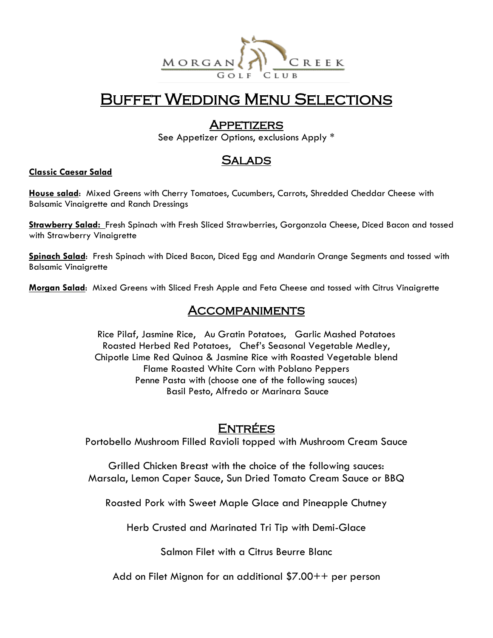

## Buffet Wedding Menu Selections

#### **APPETIZERS**

See Appetizer Options, exclusions Apply \*

#### **SALADS**

#### **Classic Caesar Salad**

**House salad**: Mixed Greens with Cherry Tomatoes, Cucumbers, Carrots, Shredded Cheddar Cheese with Balsamic Vinaigrette and Ranch Dressings

**Strawberry Salad:** Fresh Spinach with Fresh Sliced Strawberries, Gorgonzola Cheese, Diced Bacon and tossed with Strawberry Vinaigrette

**Spinach Salad**: Fresh Spinach with Diced Bacon, Diced Egg and Mandarin Orange Segments and tossed with Balsamic Vinaigrette

**Morgan Salad**: Mixed Greens with Sliced Fresh Apple and Feta Cheese and tossed with Citrus Vinaigrette

#### **ACCOMPANIMENTS**

Rice Pilaf, Jasmine Rice, Au Gratin Potatoes, Garlic Mashed Potatoes Roasted Herbed Red Potatoes, Chef's Seasonal Vegetable Medley, Chipotle Lime Red Quinoa & Jasmine Rice with Roasted Vegetable blend Flame Roasted White Corn with Poblano Peppers Penne Pasta with (choose one of the following sauces) Basil Pesto, Alfredo or Marinara Sauce

## <u>ENTRÉES</u>

Portobello Mushroom Filled Ravioli topped with Mushroom Cream Sauce

Grilled Chicken Breast with the choice of the following sauces: Marsala, Lemon Caper Sauce, Sun Dried Tomato Cream Sauce or BBQ

Roasted Pork with Sweet Maple Glace and Pineapple Chutney

Herb Crusted and Marinated Tri Tip with Demi-Glace

Salmon Filet with a Citrus Beurre Blanc

Add on Filet Mignon for an additional \$7.00++ per person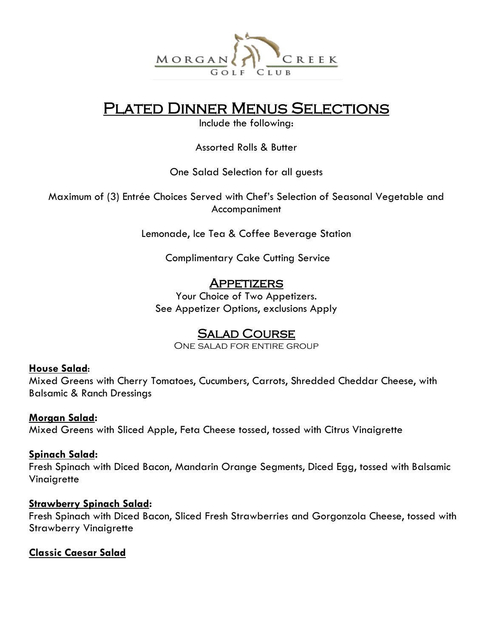

## Plated Dinner Menus Selections

Include the following:

Assorted Rolls & Butter

One Salad Selection for all guests

Maximum of (3) Entrée Choices Served with Chef's Selection of Seasonal Vegetable and Accompaniment

Lemonade, Ice Tea & Coffee Beverage Station

Complimentary Cake Cutting Service

## **APPETIZERS**

Your Choice of Two Appetizers. See Appetizer Options, exclusions Apply

## Salad Course

One salad for entire group

#### **House Salad**:

Mixed Greens with Cherry Tomatoes, Cucumbers, Carrots, Shredded Cheddar Cheese, with Balsamic & Ranch Dressings

#### **Morgan Salad:**

Mixed Greens with Sliced Apple, Feta Cheese tossed, tossed with Citrus Vinaigrette

#### **Spinach Salad:**

Fresh Spinach with Diced Bacon, Mandarin Orange Segments, Diced Egg, tossed with Balsamic Vinaigrette

#### **Strawberry Spinach Salad:**

Fresh Spinach with Diced Bacon, Sliced Fresh Strawberries and Gorgonzola Cheese, tossed with Strawberry Vinaigrette

#### **Classic Caesar Salad**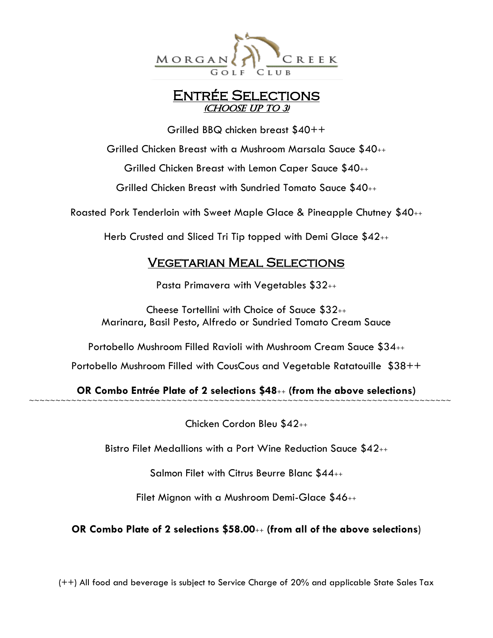

## Entrée Selections (Choose up to 3)

Grilled BBQ chicken breast \$40++

Grilled Chicken Breast with a Mushroom Marsala Sauce \$40++

Grilled Chicken Breast with Lemon Caper Sauce \$40++

Grilled Chicken Breast with Sundried Tomato Sauce \$40++

Roasted Pork Tenderloin with Sweet Maple Glace & Pineapple Chutney \$40++

Herb Crusted and Sliced Tri Tip topped with Demi Glace \$42++

## Vegetarian Meal Selections

Pasta Primavera with Vegetables \$32++

Cheese Tortellini with Choice of Sauce \$32++ Marinara, Basil Pesto, Alfredo or Sundried Tomato Cream Sauce

Portobello Mushroom Filled Ravioli with Mushroom Cream Sauce \$34++

Portobello Mushroom Filled with CousCous and Vegetable Ratatouille \$38++

**OR Combo Entrée Plate of 2 selections \$48**++ **(from the above selections)** ~~~~~~~~~~~~~~~~~~~~~~~~~~~~~~~~~~~~~~~~~~~~~~~~~~~~~~~~~~~~~~~~~~~~~~~~~~~~~~~~

Chicken Cordon Bleu \$42++

Bistro Filet Medallions with a Port Wine Reduction Sauce \$42++

Salmon Filet with Citrus Beurre Blanc \$44++

Filet Mignon with a Mushroom Demi-Glace \$46++

**OR Combo Plate of 2 selections \$58.00**++ **(from all of the above selections**)

(++) All food and beverage is subject to Service Charge of 20% and applicable State Sales Tax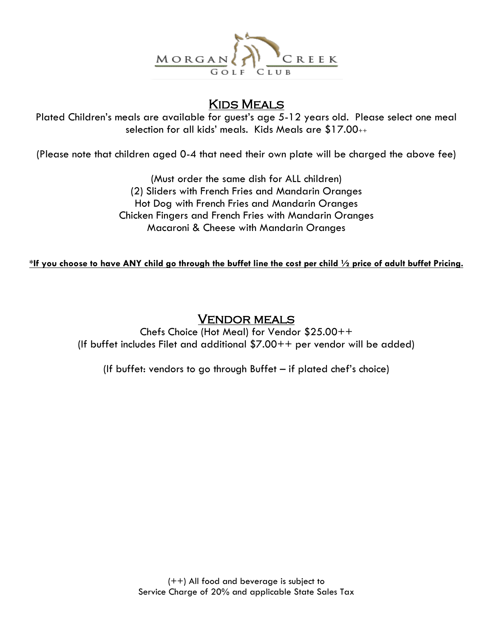

## Kids Meals

Plated Children's meals are available for guest's age 5-12 years old. Please select one meal selection for all kids' meals. Kids Meals are \$17.00++

(Please note that children aged 0-4 that need their own plate will be charged the above fee)

(Must order the same dish for ALL children) (2) Sliders with French Fries and Mandarin Oranges Hot Dog with French Fries and Mandarin Oranges Chicken Fingers and French Fries with Mandarin Oranges Macaroni & Cheese with Mandarin Oranges

**\*If you choose to have ANY child go through the buffet line the cost per child ½ price of adult buffet Pricing.** 

#### Vendor meals

Chefs Choice (Hot Meal) for Vendor \$25.00++ (If buffet includes Filet and additional \$7.00++ per vendor will be added)

(If buffet: vendors to go through Buffet – if plated chef's choice)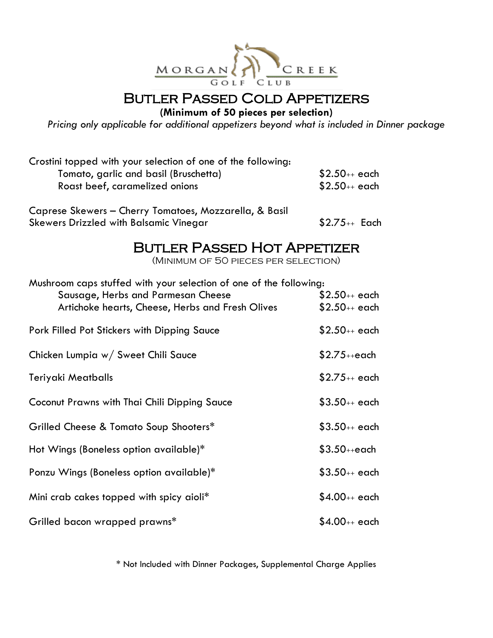

**(Minimum of 50 pieces per selection)**

*Pricing only applicable for additional appetizers beyond what is included in Dinner package*

| Crostini topped with your selection of one of the following: |                   |
|--------------------------------------------------------------|-------------------|
| Tomato, garlic and basil (Bruschetta)                        | $$2.50_{++}$ each |
| Roast beef, caramelized onions                               | $$2.50_{++}$ each |
|                                                              |                   |

Caprese Skewers – Cherry Tomatoes, Mozzarella, & Basil Skewers Drizzled with Balsamic Vinegar \$2.75++ Each

## **BUTLER PASSED HOT APPETIZER**

(Minimum of 50 pieces per selection)

| Mushroom caps stuffed with your selection of one of the following: |                   |  |  |
|--------------------------------------------------------------------|-------------------|--|--|
| Sausage, Herbs and Parmesan Cheese                                 | $$2.50_{++}$ each |  |  |
| Artichoke hearts, Cheese, Herbs and Fresh Olives                   | $$2.50_{++}$ each |  |  |
| Pork Filled Pot Stickers with Dipping Sauce                        | $$2.50_{++}$ each |  |  |
| Chicken Lumpia w/ Sweet Chili Sauce                                | $$2.75$ ++each    |  |  |
| Teriyaki Meatballs                                                 | $$2.75_{++}$ each |  |  |
| Coconut Prawns with Thai Chili Dipping Sauce                       | $$3.50_{++}$ each |  |  |
| Grilled Cheese & Tomato Soup Shooters*                             | $$3.50_{++}$ each |  |  |
| Hot Wings (Boneless option available)*                             | $$3.50$ ++each    |  |  |
| Ponzu Wings (Boneless option available)*                           | $$3.50_{++}$ each |  |  |
| Mini crab cakes topped with spicy aioli*                           | $$4.00_{++}$ each |  |  |
| Grilled bacon wrapped prawns*                                      | \$4.00++ each     |  |  |

\* Not Included with Dinner Packages, Supplemental Charge Applies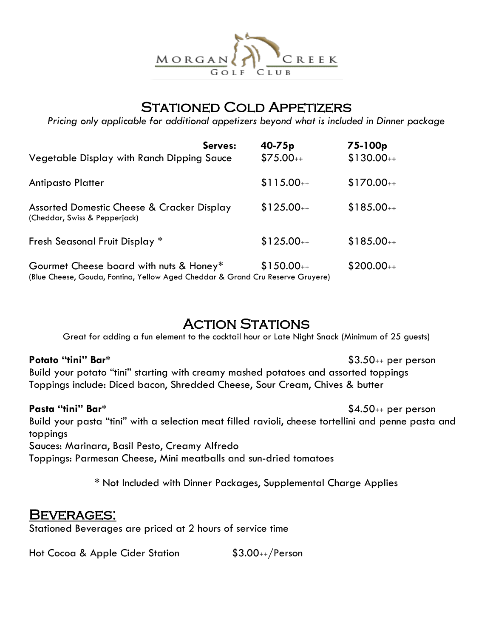

## STATIONED COLD APPETIZERS

*Pricing only applicable for additional appetizers beyond what is included in Dinner package*

| Vegetable Display with Ranch Dipping Sauce                                                                                | Serves: | $40 - 75p$<br>$$75.00++$ | 75-100p<br>$$130.00++$ |
|---------------------------------------------------------------------------------------------------------------------------|---------|--------------------------|------------------------|
| <b>Antipasto Platter</b>                                                                                                  |         | $$115.00++$              | $$170.00++$            |
| Assorted Domestic Cheese & Cracker Display<br>(Cheddar, Swiss & Pepperjack)                                               |         | $$125.00++$              | $$185.00++$            |
| Fresh Seasonal Fruit Display *                                                                                            |         | $$125.00++$              | $$185.00++$            |
| Gourmet Cheese board with nuts & Honey*<br>(Blue Cheese, Gouda, Fontina, Yellow Aged Cheddar & Grand Cru Reserve Gruyere) |         | $$150.00++$              | $$200.00++$            |

## **ACTION STATIONS**

Great for adding a fun element to the cocktail hour or Late Night Snack (Minimum of 25 guests)

**Potato "tini" Bar\*** \$3.50++ per person

Build your potato "tini" starting with creamy mashed potatoes and assorted toppings Toppings include: Diced bacon, Shredded Cheese, Sour Cream, Chives & butter

**Pasta "tini" Bar\*** \$4.50++ per person

Build your pasta "tini" with a selection meat filled ravioli, cheese tortellini and penne pasta and toppings

Sauces: Marinara, Basil Pesto, Creamy Alfredo

Toppings: Parmesan Cheese, Mini meatballs and sun-dried tomatoes

\* Not Included with Dinner Packages, Supplemental Charge Applies

## BEVERAGES:

Stationed Beverages are priced at 2 hours of service time

Hot Cocoa & Apple Cider Station  $$3.00$ <sub>++</sub>/Person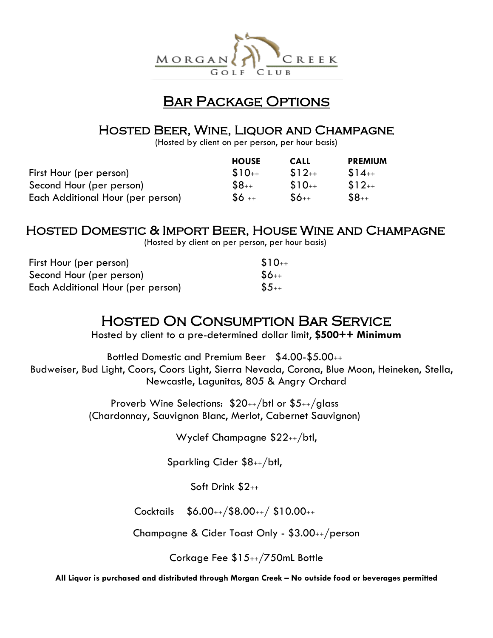

#### Bar Package Options

## Hosted Beer, Wine, Liquor and Champagne

(Hosted by client on per person, per hour basis)

|                                   | <b>HOUSE</b> | <b>CALL</b> | <b>PREMIUM</b> |
|-----------------------------------|--------------|-------------|----------------|
| First Hour (per person)           | $$10++$      | $$12++$     | $$14++$        |
| Second Hour (per person)          | $$8_{++}$    | $$10++$     | $$12++$        |
| Each Additional Hour (per person) | $$6 +$       | $$6++$      | $$8_{++}$      |

## Hosted Domestic & Import Beer, House Wine and Champagne

(Hosted by client on per person, per hour basis)

| First Hour (per person)           | $$10++$   |
|-----------------------------------|-----------|
| Second Hour (per person)          | $$6++$    |
| Each Additional Hour (per person) | $$5_{++}$ |

## Hosted On Consumption Bar Service

Hosted by client to a pre-determined dollar limit, **\$500++ Minimum**

Bottled Domestic and Premium Beer \$4.00-\$5.00++ Budweiser, Bud Light, Coors, Coors Light, Sierra Nevada, Corona, Blue Moon, Heineken, Stella, Newcastle, Lagunitas, 805 & Angry Orchard

> Proverb Wine Selections: \$20++/btl or \$5++/glass (Chardonnay, Sauvignon Blanc, Merlot, Cabernet Sauvignon)

> > Wyclef Champagne \$22++/btl,

Sparkling Cider \$8++/btl,

Soft Drink \$2++

Cocktails \$6.00++/\$8.00++/ \$10.00++

Champagne & Cider Toast Only - \$3.00++/person

Corkage Fee \$15++/750mL Bottle

**All Liquor is purchased and distributed through Morgan Creek – No outside food or beverages permitted**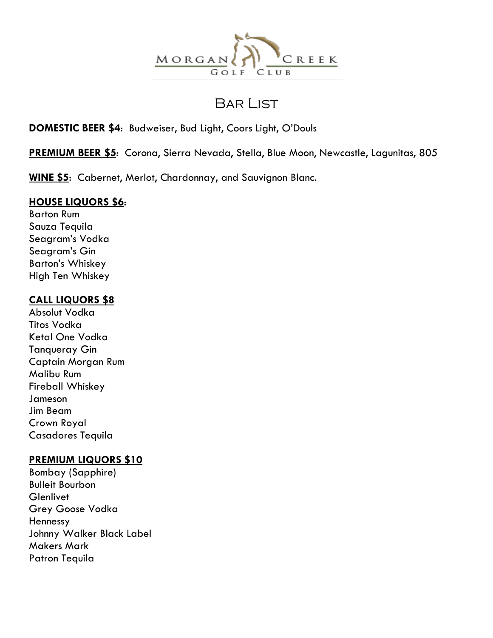

## Bar List

#### **DOMESTIC BEER \$4**: Budweiser, Bud Light, Coors Light, O'Douls

**PREMIUM BEER \$5**: Corona, Sierra Nevada, Stella, Blue Moon, Newcastle, Lagunitas, 805

**WINE \$5**: Cabernet, Merlot, Chardonnay, and Sauvignon Blanc.

### **HOUSE LIQUORS \$6**:

Barton Rum Sauza Tequila Seagram's Vodka Seagram's Gin Barton's Whiskey High Ten Whiskey

#### **CALL LIQUORS \$8**

Absolut Vodka Titos Vodka Ketal One Vodka Tanqueray Gin Captain Morgan Rum Malibu Rum Fireball Whiskey Jameson Jim Beam Crown Royal Casadores Tequila

#### **PREMIUM LIQUORS \$10**

Bombay (Sapphire) Bulleit Bourbon **Glenlivet** Grey Goose Vodka Hennessy Johnny Walker Black Label Makers Mark Patron Tequila